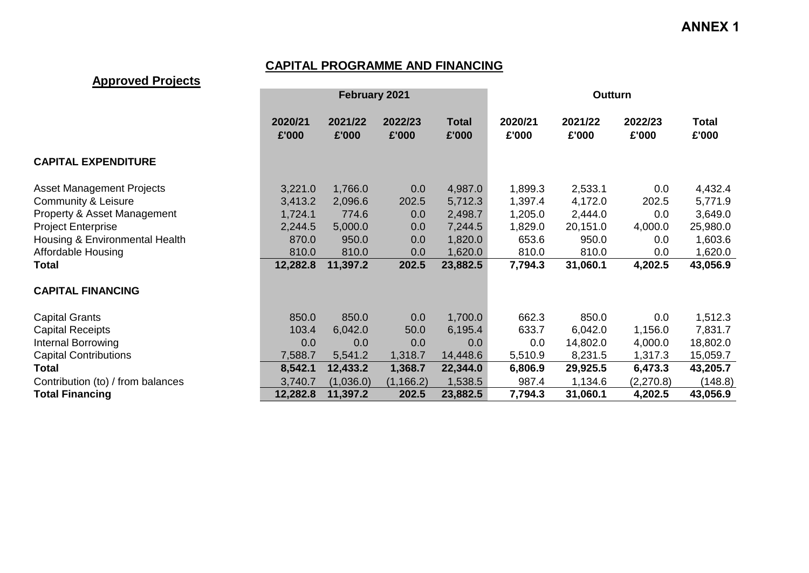# **CAPITAL PROGRAMME AND FINANCING**

## **Approved Projects**

|                                   |                  | <b>February 2021</b> |                  |                | Outturn          |                  |                  |                |  |  |
|-----------------------------------|------------------|----------------------|------------------|----------------|------------------|------------------|------------------|----------------|--|--|
|                                   | 2020/21<br>£'000 | 2021/22<br>£'000     | 2022/23<br>£'000 | Total<br>£'000 | 2020/21<br>£'000 | 2021/22<br>£'000 | 2022/23<br>£'000 | Total<br>£'000 |  |  |
| <b>CAPITAL EXPENDITURE</b>        |                  |                      |                  |                |                  |                  |                  |                |  |  |
| <b>Asset Management Projects</b>  | 3,221.0          | 1,766.0              | 0.0              | 4,987.0        | 1,899.3          | 2,533.1          | 0.0              | 4,432.4        |  |  |
| <b>Community &amp; Leisure</b>    | 3,413.2          | 2,096.6              | 202.5            | 5,712.3        | 1,397.4          | 4,172.0          | 202.5            | 5,771.9        |  |  |
| Property & Asset Management       | 1,724.1          | 774.6                | 0.0              | 2,498.7        | 1,205.0          | 2,444.0          | 0.0              | 3,649.0        |  |  |
| <b>Project Enterprise</b>         | 2,244.5          | 5,000.0              | 0.0              | 7,244.5        | 1,829.0          | 20,151.0         | 4,000.0          | 25,980.0       |  |  |
| Housing & Environmental Health    | 870.0            | 950.0                | 0.0              | 1,820.0        | 653.6            | 950.0            | 0.0              | 1,603.6        |  |  |
| Affordable Housing                | 810.0            | 810.0                | 0.0              | 1,620.0        | 810.0            | 810.0            | 0.0              | 1,620.0        |  |  |
| Total                             | 12,282.8         | 11,397.2             | 202.5            | 23,882.5       | 7,794.3          | 31,060.1         | 4,202.5          | 43,056.9       |  |  |
| <b>CAPITAL FINANCING</b>          |                  |                      |                  |                |                  |                  |                  |                |  |  |
| <b>Capital Grants</b>             | 850.0            | 850.0                | 0.0              | 1,700.0        | 662.3            | 850.0            | 0.0              | 1,512.3        |  |  |
| <b>Capital Receipts</b>           | 103.4            | 6,042.0              | 50.0             | 6,195.4        | 633.7            | 6,042.0          | 1,156.0          | 7,831.7        |  |  |
| Internal Borrowing                | 0.0              | 0.0                  | 0.0              | 0.0            | 0.0              | 14,802.0         | 4,000.0          | 18,802.0       |  |  |
| <b>Capital Contributions</b>      | 7,588.7          | 5,541.2              | 1,318.7          | 14,448.6       | 5,510.9          | 8,231.5          | 1,317.3          | 15,059.7       |  |  |
| <b>Total</b>                      | 8,542.1          | 12,433.2             | 1,368.7          | 22,344.0       | 6,806.9          | 29,925.5         | 6,473.3          | 43,205.7       |  |  |
| Contribution (to) / from balances | 3,740.7          | (1,036.0)            | (1, 166.2)       | 1,538.5        | 987.4            | 1,134.6          | (2, 270.8)       | (148.8)        |  |  |
| <b>Total Financing</b>            | 12,282.8         | 11,397.2             | 202.5            | 23,882.5       | 7,794.3          | 31,060.1         | 4,202.5          | 43,056.9       |  |  |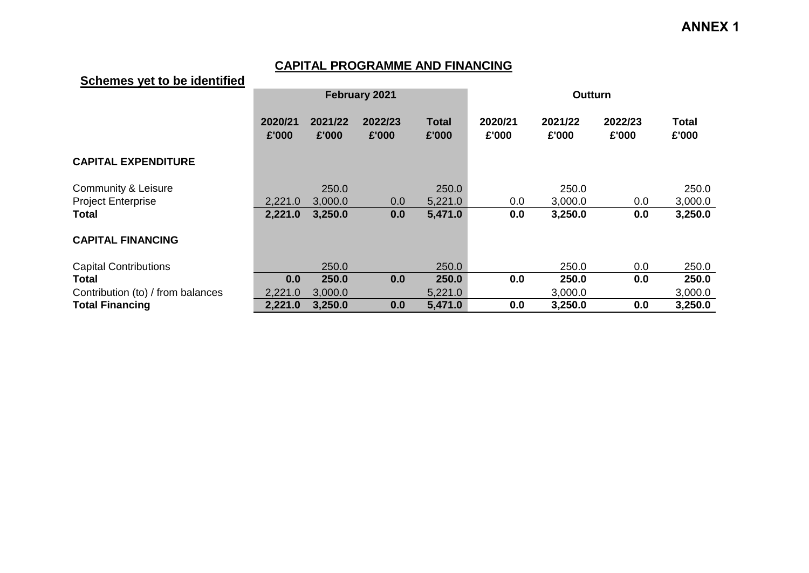## **CAPITAL PROGRAMME AND FINANCING**

## **Schemes yet to be identified**

|                                   |                  |                  | February 2021    |                       | <b>Outturn</b>   |                  |                  |                       |  |  |
|-----------------------------------|------------------|------------------|------------------|-----------------------|------------------|------------------|------------------|-----------------------|--|--|
|                                   | 2020/21<br>£'000 | 2021/22<br>£'000 | 2022/23<br>£'000 | <b>Total</b><br>£'000 | 2020/21<br>£'000 | 2021/22<br>£'000 | 2022/23<br>£'000 | <b>Total</b><br>£'000 |  |  |
| <b>CAPITAL EXPENDITURE</b>        |                  |                  |                  |                       |                  |                  |                  |                       |  |  |
| <b>Community &amp; Leisure</b>    |                  | 250.0            |                  | 250.0                 |                  | 250.0            |                  | 250.0                 |  |  |
| <b>Project Enterprise</b>         | 2,221.0          | 3,000.0          | 0.0              | 5,221.0               | 0.0              | 3,000.0          | 0.0              | 3,000.0               |  |  |
| <b>Total</b>                      | 2,221.0          | 3,250.0          | 0.0              | 5,471.0               | 0.0              | 3,250.0          | 0.0              | 3,250.0               |  |  |
| <b>CAPITAL FINANCING</b>          |                  |                  |                  |                       |                  |                  |                  |                       |  |  |
| <b>Capital Contributions</b>      |                  | 250.0            |                  | 250.0                 |                  | 250.0            | 0.0              | 250.0                 |  |  |
| <b>Total</b>                      | 0.0              | 250.0            | 0.0              | 250.0                 | 0.0              | 250.0            | 0.0              | 250.0                 |  |  |
| Contribution (to) / from balances | 2,221.0          | 3,000.0          |                  | 5,221.0               |                  | 3,000.0          |                  | 3,000.0               |  |  |
| <b>Total Financing</b>            | 2,221.0          | 3,250.0          | 0.0              | 5,471.0               | 0.0              | 3,250.0          | 0.0              | 3,250.0               |  |  |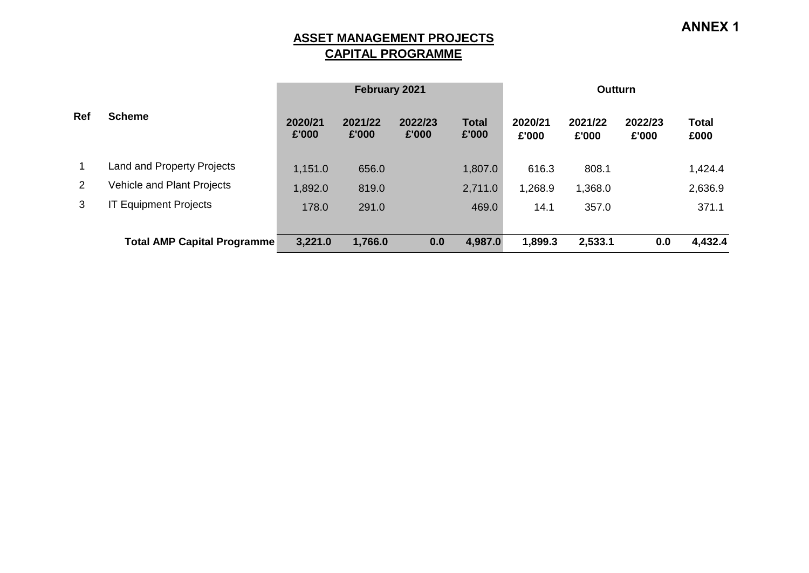**ASSET MANAGEMENT PROJECTS CAPITAL PROGRAMME**

|            |                                    |                  | February 2021    |                  |                       | <b>Outturn</b>   |                  |                  |               |  |
|------------|------------------------------------|------------------|------------------|------------------|-----------------------|------------------|------------------|------------------|---------------|--|
| <b>Ref</b> | <b>Scheme</b>                      | 2020/21<br>£'000 | 2021/22<br>£'000 | 2022/23<br>£'000 | <b>Total</b><br>£'000 | 2020/21<br>£'000 | 2021/22<br>£'000 | 2022/23<br>£'000 | Total<br>£000 |  |
|            | <b>Land and Property Projects</b>  | 1,151.0          | 656.0            |                  | 1,807.0               | 616.3            | 808.1            |                  | 1,424.4       |  |
| 2          | Vehicle and Plant Projects         | 1,892.0          | 819.0            |                  | 2,711.0               | 1,268.9          | 1,368.0          |                  | 2,636.9       |  |
| 3          | <b>IT Equipment Projects</b>       | 178.0            | 291.0            |                  | 469.0                 | 14.1             | 357.0            |                  | 371.1         |  |
|            | <b>Total AMP Capital Programme</b> | 3,221.0          | 1,766.0          | 0.0              | 4,987.0               | 1,899.3          | 2,533.1          | 0.0              | 4,432.4       |  |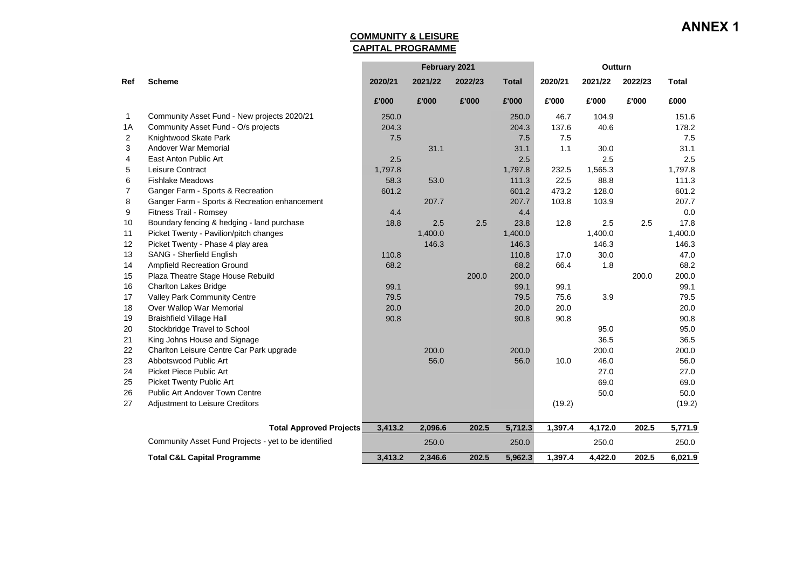#### **COMMUNITY & LEISURE CAPITAL PROGRAMME**

|                |                                                      |         | February 2021 |         |              | Outturn |         |         |              |
|----------------|------------------------------------------------------|---------|---------------|---------|--------------|---------|---------|---------|--------------|
| Ref            | <b>Scheme</b>                                        | 2020/21 | 2021/22       | 2022/23 | <b>Total</b> | 2020/21 | 2021/22 | 2022/23 | <b>Total</b> |
|                |                                                      | £'000   | £'000         | £'000   | £'000        | £'000   | £'000   | £'000   | £000         |
| 1              | Community Asset Fund - New projects 2020/21          | 250.0   |               |         | 250.0        | 46.7    | 104.9   |         | 151.6        |
| 1A             | Community Asset Fund - O/s projects                  | 204.3   |               |         | 204.3        | 137.6   | 40.6    |         | 178.2        |
| 2              | Knightwood Skate Park                                | 7.5     |               |         | 7.5          | 7.5     |         |         | 7.5          |
| 3              | Andover War Memorial                                 |         | 31.1          |         | 31.1         | 1.1     | 30.0    |         | 31.1         |
| 4              | East Anton Public Art                                | 2.5     |               |         | 2.5          |         | 2.5     |         | 2.5          |
| 5              | Leisure Contract                                     | 1,797.8 |               |         | 1,797.8      | 232.5   | 1,565.3 |         | 1,797.8      |
| 6              | <b>Fishlake Meadows</b>                              | 58.3    | 53.0          |         | 111.3        | 22.5    | 88.8    |         | 111.3        |
| $\overline{7}$ | Ganger Farm - Sports & Recreation                    | 601.2   |               |         | 601.2        | 473.2   | 128.0   |         | 601.2        |
| 8              | Ganger Farm - Sports & Recreation enhancement        |         | 207.7         |         | 207.7        | 103.8   | 103.9   |         | 207.7        |
| 9              | Fitness Trail - Romsey                               | 4.4     |               |         | 4.4          |         |         |         | 0.0          |
| 10             | Boundary fencing & hedging - land purchase           | 18.8    | 2.5           | 2.5     | 23.8         | 12.8    | 2.5     | 2.5     | 17.8         |
| 11             | Picket Twenty - Pavilion/pitch changes               |         | 1,400.0       |         | 1,400.0      |         | 1,400.0 |         | 1,400.0      |
| 12             | Picket Twenty - Phase 4 play area                    |         | 146.3         |         | 146.3        |         | 146.3   |         | 146.3        |
| 13             | <b>SANG - Sherfield English</b>                      | 110.8   |               |         | 110.8        | 17.0    | 30.0    |         | 47.0         |
| 14             | Ampfield Recreation Ground                           | 68.2    |               |         | 68.2         | 66.4    | 1.8     |         | 68.2         |
| 15             | Plaza Theatre Stage House Rebuild                    |         |               | 200.0   | 200.0        |         |         | 200.0   | 200.0        |
| 16             | <b>Charlton Lakes Bridge</b>                         | 99.1    |               |         | 99.1         | 99.1    |         |         | 99.1         |
| 17             | Valley Park Community Centre                         | 79.5    |               |         | 79.5         | 75.6    | 3.9     |         | 79.5         |
| 18             | Over Wallop War Memorial                             | 20.0    |               |         | 20.0         | 20.0    |         |         | 20.0         |
| 19             | <b>Braishfield Village Hall</b>                      | 90.8    |               |         | 90.8         | 90.8    |         |         | 90.8         |
| 20             | Stockbridge Travel to School                         |         |               |         |              |         | 95.0    |         | 95.0         |
| 21             | King Johns House and Signage                         |         |               |         |              |         | 36.5    |         | 36.5         |
| 22             | Charlton Leisure Centre Car Park upgrade             |         | 200.0         |         | 200.0        |         | 200.0   |         | 200.0        |
| 23             | Abbotswood Public Art                                |         | 56.0          |         | 56.0         | 10.0    | 46.0    |         | 56.0         |
| 24             | Picket Piece Public Art                              |         |               |         |              |         | 27.0    |         | 27.0         |
| 25             | <b>Picket Twenty Public Art</b>                      |         |               |         |              |         | 69.0    |         | 69.0         |
| 26             | <b>Public Art Andover Town Centre</b>                |         |               |         |              |         | 50.0    |         | 50.0         |
| 27             | Adjustment to Leisure Creditors                      |         |               |         |              | (19.2)  |         |         | (19.2)       |
|                | <b>Total Approved Projects</b>                       | 3,413.2 | 2,096.6       | 202.5   | 5,712.3      | 1,397.4 | 4,172.0 | 202.5   | 5,771.9      |
|                | Community Asset Fund Projects - yet to be identified |         | 250.0         |         | 250.0        |         | 250.0   |         | 250.0        |
|                | <b>Total C&amp;L Capital Programme</b>               | 3.413.2 | 2,346.6       | 202.5   | 5,962.3      | 1,397.4 | 4.422.0 | 202.5   | 6,021.9      |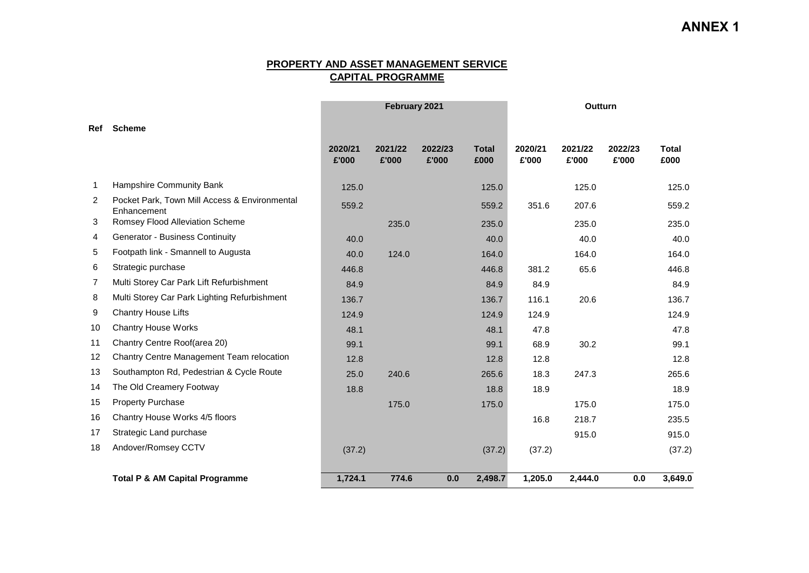#### **PROPERTY AND ASSET MANAGEMENT SERVICE CAPITAL PROGRAMME**

|                |                                                              |                  | February 2021    |                  |                      | Outturn          |                  |                  |               |
|----------------|--------------------------------------------------------------|------------------|------------------|------------------|----------------------|------------------|------------------|------------------|---------------|
| Ref            | <b>Scheme</b>                                                |                  |                  |                  |                      |                  |                  |                  |               |
|                |                                                              | 2020/21<br>£'000 | 2021/22<br>£'000 | 2022/23<br>£'000 | <b>Total</b><br>£000 | 2020/21<br>£'000 | 2021/22<br>£'000 | 2022/23<br>£'000 | Total<br>£000 |
| $\mathbf{1}$   | Hampshire Community Bank                                     | 125.0            |                  |                  | 125.0                |                  | 125.0            |                  | 125.0         |
| $\overline{2}$ | Pocket Park, Town Mill Access & Environmental<br>Enhancement | 559.2            |                  |                  | 559.2                | 351.6            | 207.6            |                  | 559.2         |
| 3              | Romsey Flood Alleviation Scheme                              |                  | 235.0            |                  | 235.0                |                  | 235.0            |                  | 235.0         |
| 4              | <b>Generator - Business Continuity</b>                       | 40.0             |                  |                  | 40.0                 |                  | 40.0             |                  | 40.0          |
| 5              | Footpath link - Smannell to Augusta                          | 40.0             | 124.0            |                  | 164.0                |                  | 164.0            |                  | 164.0         |
| 6              | Strategic purchase                                           | 446.8            |                  |                  | 446.8                | 381.2            | 65.6             |                  | 446.8         |
| 7              | Multi Storey Car Park Lift Refurbishment                     | 84.9             |                  |                  | 84.9                 | 84.9             |                  |                  | 84.9          |
| 8              | Multi Storey Car Park Lighting Refurbishment                 | 136.7            |                  |                  | 136.7                | 116.1            | 20.6             |                  | 136.7         |
| 9              | Chantry House Lifts                                          | 124.9            |                  |                  | 124.9                | 124.9            |                  |                  | 124.9         |
| 10             | <b>Chantry House Works</b>                                   | 48.1             |                  |                  | 48.1                 | 47.8             |                  |                  | 47.8          |
| 11             | Chantry Centre Roof(area 20)                                 | 99.1             |                  |                  | 99.1                 | 68.9             | 30.2             |                  | 99.1          |
| 12             | Chantry Centre Management Team relocation                    | 12.8             |                  |                  | 12.8                 | 12.8             |                  |                  | 12.8          |
| 13             | Southampton Rd, Pedestrian & Cycle Route                     | 25.0             | 240.6            |                  | 265.6                | 18.3             | 247.3            |                  | 265.6         |
| 14             | The Old Creamery Footway                                     | 18.8             |                  |                  | 18.8                 | 18.9             |                  |                  | 18.9          |
| 15             | <b>Property Purchase</b>                                     |                  | 175.0            |                  | 175.0                |                  | 175.0            |                  | 175.0         |
| 16             | Chantry House Works 4/5 floors                               |                  |                  |                  |                      | 16.8             | 218.7            |                  | 235.5         |
| 17             | Strategic Land purchase                                      |                  |                  |                  |                      |                  | 915.0            |                  | 915.0         |
| 18             | Andover/Romsey CCTV                                          | (37.2)           |                  |                  | (37.2)               | (37.2)           |                  |                  | (37.2)        |
|                | <b>Total P &amp; AM Capital Programme</b>                    | 1,724.1          | 774.6            | 0.0              | 2,498.7              | 1,205.0          | 2,444.0          | 0.0              | 3,649.0       |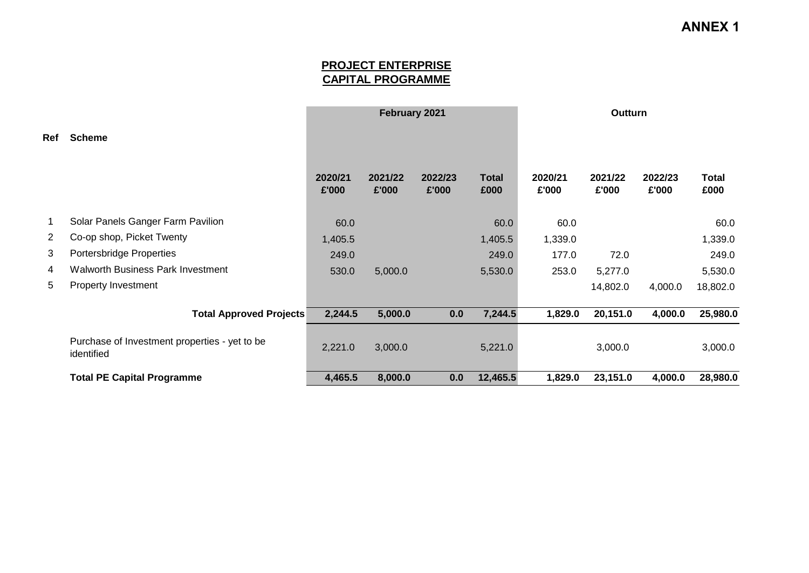### **PROJECT ENTERPRISE CAPITAL PROGRAMME**

|                |                                                             |                  | February 2021    |                  |                      | Outturn          |                  |                  |                      |
|----------------|-------------------------------------------------------------|------------------|------------------|------------------|----------------------|------------------|------------------|------------------|----------------------|
| Ref            | <b>Scheme</b>                                               |                  |                  |                  |                      |                  |                  |                  |                      |
|                |                                                             | 2020/21<br>£'000 | 2021/22<br>£'000 | 2022/23<br>£'000 | <b>Total</b><br>£000 | 2020/21<br>£'000 | 2021/22<br>£'000 | 2022/23<br>£'000 | <b>Total</b><br>£000 |
| 1              | Solar Panels Ganger Farm Pavilion                           | 60.0             |                  |                  | 60.0                 | 60.0             |                  |                  | 60.0                 |
| $\overline{2}$ | Co-op shop, Picket Twenty                                   | 1,405.5          |                  |                  | 1,405.5              | 1,339.0          |                  |                  | 1,339.0              |
| 3              | Portersbridge Properties                                    | 249.0            |                  |                  | 249.0                | 177.0            | 72.0             |                  | 249.0                |
| 4              | <b>Walworth Business Park Investment</b>                    | 530.0            | 5,000.0          |                  | 5,530.0              | 253.0            | 5,277.0          |                  | 5,530.0              |
| 5              | <b>Property Investment</b>                                  |                  |                  |                  |                      |                  | 14,802.0         | 4,000.0          | 18,802.0             |
|                | <b>Total Approved Projects</b>                              | 2,244.5          | 5,000.0          | 0.0              | 7,244.5              | 1,829.0          | 20,151.0         | 4,000.0          | 25,980.0             |
|                | Purchase of Investment properties - yet to be<br>identified | 2,221.0          | 3,000.0          |                  | 5,221.0              |                  | 3,000.0          |                  | 3,000.0              |
|                | <b>Total PE Capital Programme</b>                           | 4,465.5          | 8,000.0          | 0.0              | 12,465.5             | 1,829.0          | 23,151.0         | 4,000.0          | 28,980.0             |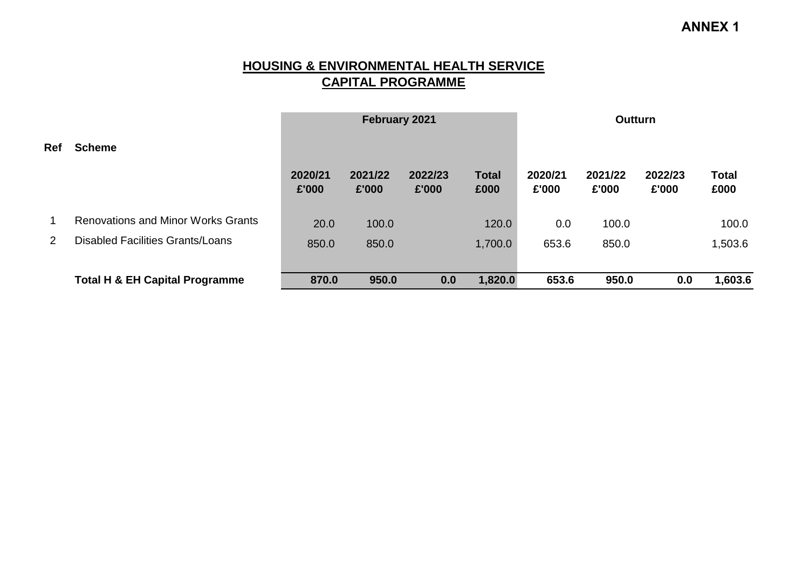### **HOUSING & ENVIRONMENTAL HEALTH SERVICE CAPITAL PROGRAMME**

|                |                                           |                  | February 2021    |                  |                      | <b>Outturn</b>   |                  |                  |                      |  |
|----------------|-------------------------------------------|------------------|------------------|------------------|----------------------|------------------|------------------|------------------|----------------------|--|
| <b>Ref</b>     | <b>Scheme</b>                             |                  |                  |                  |                      |                  |                  |                  |                      |  |
|                |                                           | 2020/21<br>£'000 | 2021/22<br>£'000 | 2022/23<br>£'000 | <b>Total</b><br>£000 | 2020/21<br>£'000 | 2021/22<br>£'000 | 2022/23<br>£'000 | <b>Total</b><br>£000 |  |
|                | <b>Renovations and Minor Works Grants</b> | 20.0             | 100.0            |                  | 120.0                | 0.0              | 100.0            |                  | 100.0                |  |
| $\overline{2}$ | <b>Disabled Facilities Grants/Loans</b>   | 850.0            | 850.0            |                  | 1,700.0              | 653.6            | 850.0            |                  | 1,503.6              |  |
|                | <b>Total H &amp; EH Capital Programme</b> | 870.0            | 950.0            | 0.0              | 1,820.0              | 653.6            | 950.0            | 0.0              | 1,603.6              |  |